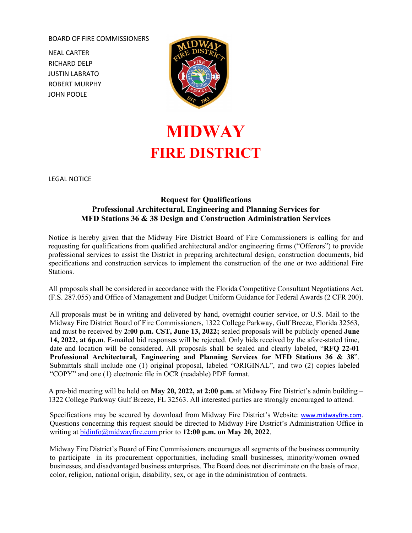## BOARD OF FIRE COMMISSIONERS

NEAL CARTER RICHARD DELP JUSTIN LABRATO ROBERT MURPHY JOHN POOLE



## **MIDWAY FIRE DISTRICT**

LEGAL NOTICE

## **Request for Qualifications Professional Architectural, Engineering and Planning Services for MFD Stations 36 & 38 Design and Construction Administration Services**

Notice is hereby given that the Midway Fire District Board of Fire Commissioners is calling for and requesting for qualifications from qualified architectural and/or engineering firms ("Offerors") to provide professional services to assist the District in preparing architectural design, construction documents, bid specifications and construction services to implement the construction of the one or two additional Fire Stations.

All proposals shall be considered in accordance with the Florida Competitive Consultant Negotiations Act. (F.S. 287.055) and Office of Management and Budget Uniform Guidance for Federal Awards (2 CFR 200).

All proposals must be in writing and delivered by hand, overnight courier service, or U.S. Mail to the Midway Fire District Board of Fire Commissioners, 1322 College Parkway, Gulf Breeze, Florida 32563, and must be received by **2:00 p.m. CST, June 13, 2022;** sealed proposals will be publicly opened **June 14, 2022, at 6p.m**. E-mailed bid responses will be rejected. Only bids received by the afore-stated time, date and location will be considered. All proposals shall be sealed and clearly labeled, "**RFQ 22-01 Professional Architectural, Engineering and Planning Services for MFD Stations 36 & 38**". Submittals shall include one (1) original proposal, labeled "ORIGINAL", and two (2) copies labeled "COPY" and one (1) electronic file in OCR (readable) PDF format.

A pre-bid meeting will be held on **May 20, 2022, at 2:00 p.m.** at Midway Fire District's admin building – 1322 College Parkway Gulf Breeze, FL 32563. All interested parties are strongly encouraged to attend.

Specifications may be secured by download from Midway Fire District's Website: [www.midwayfire.com](http://www.midwayfire.com/). Questions concerning this request should be directed to Midway Fire District's Administration Office in writing at [bidinfo@midwayfire.com p](mailto:bidinfo@midwayfire.com)rior to **12:00 p.m. on May 20, 2022**.

Midway Fire District's Board of Fire Commissioners encourages all segments of the business community to participate in its procurement opportunities, including small businesses, minority/women owned businesses, and disadvantaged business enterprises. The Board does not discriminate on the basis of race, color, religion, national origin, disability, sex, or age in the administration of contracts.